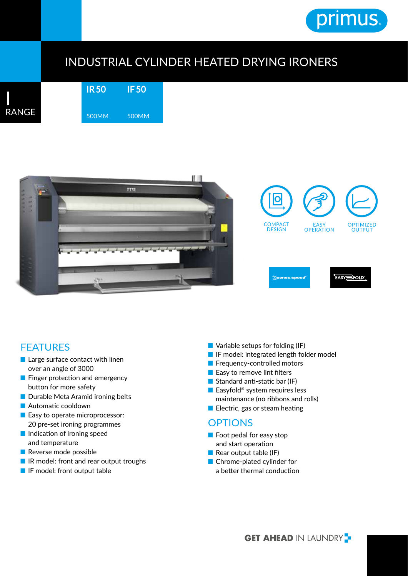

## INDUSTRIAL CYLINDER HEATED DRYING IRONERS

**IR 50** 500MM **IF 50** 500MM





## FEATURES

- Large surface contact with linen over an angle of 3000
- Finger protection and emergency button for more safety
- Durable Meta Aramid ironing belts
- Automatic cooldown
- Easy to operate microprocessor: 20 pre-set ironing programmes
- Indication of ironing speed and temperature
- Reverse mode possible
- IR model: front and rear output troughs
- IF model: front output table
- Variable setups for folding (IF)
- IF model: integrated length folder model
- Frequency-controlled motors
- Easy to remove lint filters
- Standard anti-static bar (IF)
- Easyfold<sup>®</sup> system requires less maintenance (no ribbons and rolls)
- Electric, gas or steam heating

## **OPTIONS**

- Foot pedal for easy stop and start operation
- Rear output table (IF)
- Chrome-plated cylinder for a better thermal conduction